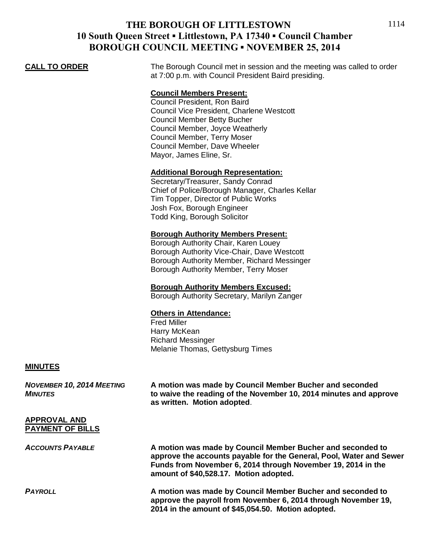# **THE BOROUGH OF LITTLESTOWN 10 South Queen Street ▪ Littlestown, PA 17340 ▪ Council Chamber BOROUGH COUNCIL MEETING ▪ NOVEMBER 25, 2014**

**CALL TO ORDER** The Borough Council met in session and the meeting was called to order at 7:00 p.m. with Council President Baird presiding.

# **Council Members Present:**

Council President, Ron Baird Council Vice President, Charlene Westcott Council Member Betty Bucher Council Member, Joyce Weatherly Council Member, Terry Moser Council Member, Dave Wheeler Mayor, James Eline, Sr.

## **Additional Borough Representation:**

Secretary/Treasurer, Sandy Conrad Chief of Police/Borough Manager, Charles Kellar Tim Topper, Director of Public Works Josh Fox, Borough Engineer Todd King, Borough Solicitor

## **Borough Authority Members Present:**

Borough Authority Chair, Karen Louey Borough Authority Vice-Chair, Dave Westcott Borough Authority Member, Richard Messinger Borough Authority Member, Terry Moser

## **Borough Authority Members Excused:**

Borough Authority Secretary, Marilyn Zanger

## **Others in Attendance:**

Fred Miller Harry McKean Richard Messinger Melanie Thomas, Gettysburg Times

## **MINUTES**

*NOVEMBER 10, 2014 MEETING* **A motion was made by Council Member Bucher and seconded** *MINUTES* **to waive the reading of the November 10, 2014 minutes and approve as written. Motion adopted**.

## **APPROVAL AND PAYMENT OF BILLS**

*ACCOUNTS PAYABLE* **A motion was made by Council Member Bucher and seconded to approve the accounts payable for the General, Pool, Water and Sewer Funds from November 6, 2014 through November 19, 2014 in the amount of \$40,528.17. Motion adopted.**

*PAYROLL* **A motion was made by Council Member Bucher and seconded to approve the payroll from November 6, 2014 through November 19, 2014 in the amount of \$45,054.50. Motion adopted.**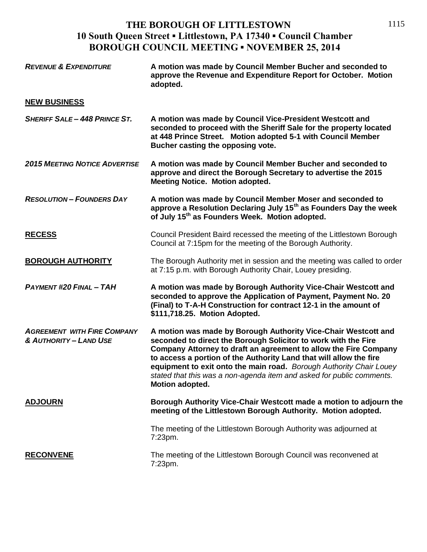# **THE BOROUGH OF LITTLESTOWN 10 South Queen Street ▪ Littlestown, PA 17340 ▪ Council Chamber BOROUGH COUNCIL MEETING ▪ NOVEMBER 25, 2014**

| <b>REVENUE &amp; EXPENDITURE</b>                             | A motion was made by Council Member Bucher and seconded to<br>approve the Revenue and Expenditure Report for October. Motion<br>adopted.                                                                                                                                                                                                                                                                                                      |
|--------------------------------------------------------------|-----------------------------------------------------------------------------------------------------------------------------------------------------------------------------------------------------------------------------------------------------------------------------------------------------------------------------------------------------------------------------------------------------------------------------------------------|
| <b>NEW BUSINESS</b>                                          |                                                                                                                                                                                                                                                                                                                                                                                                                                               |
| <b>SHERIFF SALE - 448 PRINCE ST.</b>                         | A motion was made by Council Vice-President Westcott and<br>seconded to proceed with the Sheriff Sale for the property located<br>at 448 Prince Street. Motion adopted 5-1 with Council Member<br>Bucher casting the opposing vote.                                                                                                                                                                                                           |
| <b>2015 MEETING NOTICE ADVERTISE</b>                         | A motion was made by Council Member Bucher and seconded to<br>approve and direct the Borough Secretary to advertise the 2015<br><b>Meeting Notice. Motion adopted.</b>                                                                                                                                                                                                                                                                        |
| <b>RESOLUTION - FOUNDERS DAY</b>                             | A motion was made by Council Member Moser and seconded to<br>approve a Resolution Declaring July 15 <sup>th</sup> as Founders Day the week<br>of July 15 <sup>th</sup> as Founders Week. Motion adopted.                                                                                                                                                                                                                                      |
| <b>RECESS</b>                                                | Council President Baird recessed the meeting of the Littlestown Borough<br>Council at 7:15pm for the meeting of the Borough Authority.                                                                                                                                                                                                                                                                                                        |
| <b>BOROUGH AUTHORITY</b>                                     | The Borough Authority met in session and the meeting was called to order<br>at 7:15 p.m. with Borough Authority Chair, Louey presiding.                                                                                                                                                                                                                                                                                                       |
| <b>PAYMENT #20 FINAL - TAH</b>                               | A motion was made by Borough Authority Vice-Chair Westcott and<br>seconded to approve the Application of Payment, Payment No. 20<br>(Final) to T-A-H Construction for contract 12-1 in the amount of<br>\$111,718.25. Motion Adopted.                                                                                                                                                                                                         |
| <b>AGREEMENT WITH FIRE COMPANY</b><br>& AUTHORITY - LAND USE | A motion was made by Borough Authority Vice-Chair Westcott and<br>seconded to direct the Borough Solicitor to work with the Fire<br>Company Attorney to draft an agreement to allow the Fire Company<br>to access a portion of the Authority Land that will allow the fire<br>equipment to exit onto the main road. Borough Authority Chair Louey<br>stated that this was a non-agenda item and asked for public comments.<br>Motion adopted. |
| <b>ADJOURN</b>                                               | Borough Authority Vice-Chair Westcott made a motion to adjourn the<br>meeting of the Littlestown Borough Authority. Motion adopted.                                                                                                                                                                                                                                                                                                           |
|                                                              | The meeting of the Littlestown Borough Authority was adjourned at<br>$7:23$ pm.                                                                                                                                                                                                                                                                                                                                                               |
| <b>RECONVENE</b>                                             | The meeting of the Littlestown Borough Council was reconvened at<br>7:23pm.                                                                                                                                                                                                                                                                                                                                                                   |